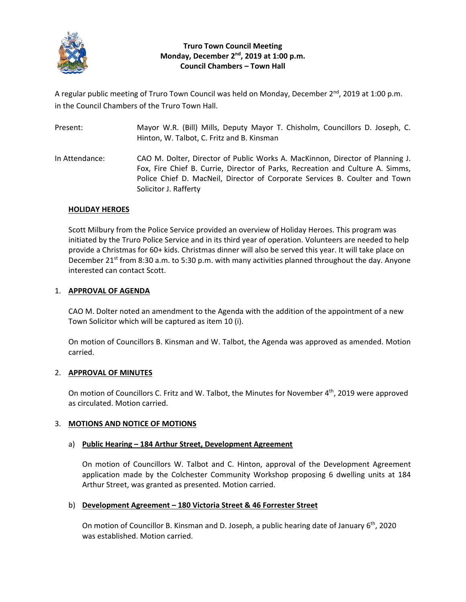

# **Truro Town Council Meeting Monday, December 2nd, 2019 at 1:00 p.m. Council Chambers – Town Hall**

A regular public meeting of Truro Town Council was held on Monday, December 2<sup>nd</sup>, 2019 at 1:00 p.m. in the Council Chambers of the Truro Town Hall.

| Present:       | Mayor W.R. (Bill) Mills, Deputy Mayor T. Chisholm, Councillors D. Joseph, C.<br>Hinton, W. Talbot, C. Fritz and B. Kinsman                                                                                                                                              |
|----------------|-------------------------------------------------------------------------------------------------------------------------------------------------------------------------------------------------------------------------------------------------------------------------|
| In Attendance: | CAO M. Dolter, Director of Public Works A. MacKinnon, Director of Planning J.<br>Fox, Fire Chief B. Currie, Director of Parks, Recreation and Culture A. Simms,<br>Police Chief D. MacNeil, Director of Corporate Services B. Coulter and Town<br>Solicitor J. Rafferty |

## **HOLIDAY HEROES**

Scott Milbury from the Police Service provided an overview of Holiday Heroes. This program was initiated by the Truro Police Service and in its third year of operation. Volunteers are needed to help provide a Christmas for 60+ kids. Christmas dinner will also be served this year. It will take place on December 21<sup>st</sup> from 8:30 a.m. to 5:30 p.m. with many activities planned throughout the day. Anyone interested can contact Scott.

## 1. **APPROVAL OF AGENDA**

CAO M. Dolter noted an amendment to the Agenda with the addition of the appointment of a new Town Solicitor which will be captured as item 10 (i).

On motion of Councillors B. Kinsman and W. Talbot, the Agenda was approved as amended. Motion carried.

## 2. **APPROVAL OF MINUTES**

On motion of Councillors C. Fritz and W. Talbot, the Minutes for November 4<sup>th</sup>, 2019 were approved as circulated. Motion carried.

## 3. **MOTIONS AND NOTICE OF MOTIONS**

## a) **Public Hearing – 184 Arthur Street, Development Agreement**

On motion of Councillors W. Talbot and C. Hinton, approval of the Development Agreement application made by the Colchester Community Workshop proposing 6 dwelling units at 184 Arthur Street, was granted as presented. Motion carried.

### b) **Development Agreement – 180 Victoria Street & 46 Forrester Street**

On motion of Councillor B. Kinsman and D. Joseph, a public hearing date of January  $6<sup>th</sup>$ , 2020 was established. Motion carried.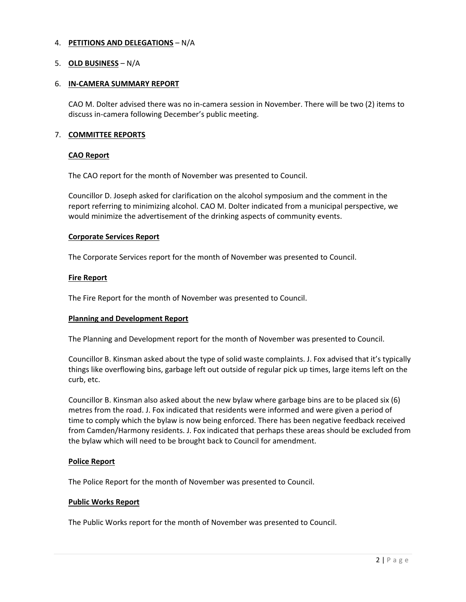## 4. **PETITIONS AND DELEGATIONS** – N/A

## 5. **OLD BUSINESS** – N/A

### 6. **IN‐CAMERA SUMMARY REPORT**

CAO M. Dolter advised there was no in‐camera session in November. There will be two (2) items to discuss in‐camera following December's public meeting.

## 7. **COMMITTEE REPORTS**

### **CAO Report**

The CAO report for the month of November was presented to Council.

Councillor D. Joseph asked for clarification on the alcohol symposium and the comment in the report referring to minimizing alcohol. CAO M. Dolter indicated from a municipal perspective, we would minimize the advertisement of the drinking aspects of community events.

## **Corporate Services Report**

The Corporate Services report for the month of November was presented to Council.

## **Fire Report**

The Fire Report for the month of November was presented to Council.

### **Planning and Development Report**

The Planning and Development report for the month of November was presented to Council.

Councillor B. Kinsman asked about the type of solid waste complaints. J. Fox advised that it's typically things like overflowing bins, garbage left out outside of regular pick up times, large items left on the curb, etc.

Councillor B. Kinsman also asked about the new bylaw where garbage bins are to be placed six (6) metres from the road. J. Fox indicated that residents were informed and were given a period of time to comply which the bylaw is now being enforced. There has been negative feedback received from Camden/Harmony residents. J. Fox indicated that perhaps these areas should be excluded from the bylaw which will need to be brought back to Council for amendment.

### **Police Report**

The Police Report for the month of November was presented to Council.

### **Public Works Report**

The Public Works report for the month of November was presented to Council.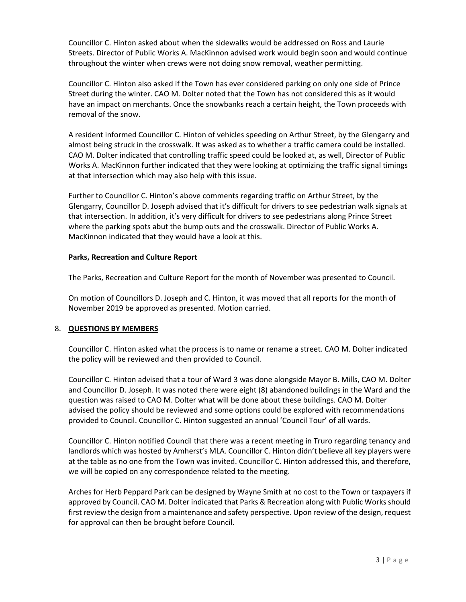Councillor C. Hinton asked about when the sidewalks would be addressed on Ross and Laurie Streets. Director of Public Works A. MacKinnon advised work would begin soon and would continue throughout the winter when crews were not doing snow removal, weather permitting.

Councillor C. Hinton also asked if the Town has ever considered parking on only one side of Prince Street during the winter. CAO M. Dolter noted that the Town has not considered this as it would have an impact on merchants. Once the snowbanks reach a certain height, the Town proceeds with removal of the snow.

A resident informed Councillor C. Hinton of vehicles speeding on Arthur Street, by the Glengarry and almost being struck in the crosswalk. It was asked as to whether a traffic camera could be installed. CAO M. Dolter indicated that controlling traffic speed could be looked at, as well, Director of Public Works A. MacKinnon further indicated that they were looking at optimizing the traffic signal timings at that intersection which may also help with this issue.

Further to Councillor C. Hinton's above comments regarding traffic on Arthur Street, by the Glengarry, Councillor D. Joseph advised that it's difficult for drivers to see pedestrian walk signals at that intersection. In addition, it's very difficult for drivers to see pedestrians along Prince Street where the parking spots abut the bump outs and the crosswalk. Director of Public Works A. MacKinnon indicated that they would have a look at this.

# **Parks, Recreation and Culture Report**

The Parks, Recreation and Culture Report for the month of November was presented to Council.

On motion of Councillors D. Joseph and C. Hinton, it was moved that all reports for the month of November 2019 be approved as presented. Motion carried.

# 8. **QUESTIONS BY MEMBERS**

Councillor C. Hinton asked what the process is to name or rename a street. CAO M. Dolter indicated the policy will be reviewed and then provided to Council.

Councillor C. Hinton advised that a tour of Ward 3 was done alongside Mayor B. Mills, CAO M. Dolter and Councillor D. Joseph. It was noted there were eight (8) abandoned buildings in the Ward and the question was raised to CAO M. Dolter what will be done about these buildings. CAO M. Dolter advised the policy should be reviewed and some options could be explored with recommendations provided to Council. Councillor C. Hinton suggested an annual 'Council Tour' of all wards.

Councillor C. Hinton notified Council that there was a recent meeting in Truro regarding tenancy and landlords which was hosted by Amherst's MLA. Councillor C. Hinton didn't believe all key players were at the table as no one from the Town was invited. Councillor C. Hinton addressed this, and therefore, we will be copied on any correspondence related to the meeting.

Arches for Herb Peppard Park can be designed by Wayne Smith at no cost to the Town or taxpayers if approved by Council. CAO M. Dolter indicated that Parks & Recreation along with Public Works should first review the design from a maintenance and safety perspective. Upon review of the design, request for approval can then be brought before Council.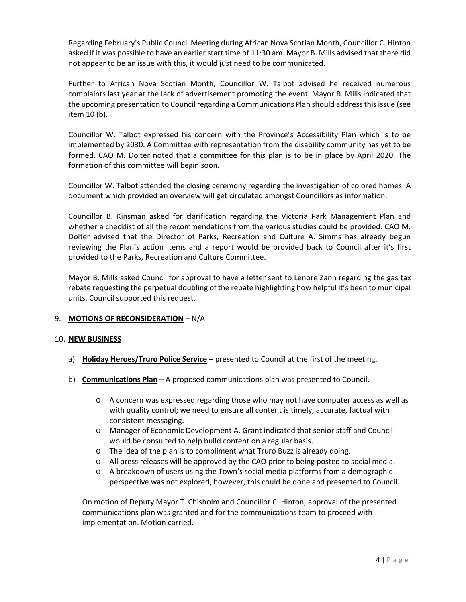Regarding February's Public Council Meeting during African Nova Scotian Month, Councillor C. Hinton asked if it was possible to have an earlier start time of 11:30 am. Mayor B. Mills advised that there did not appear to be an issue with this, it would just need to be communicated.

Further to African Nova Scotian Month, Councillor W. Talbot advised he received numerous complaints last year at the lack of advertisement promoting the event. Mayor B. Mills indicated that the upcoming presentation to Council regarding a Communications Plan should address this issue (see item 10 (b).

Councillor W. Talbot expressed his concern with the Province's Accessibility Plan which is to be implemented by 2030. A Committee with representation from the disability community has yet to be formed. CAO M. Dolter noted that a committee for this plan is to be in place by April 2020. The formation of this committee will begin soon.

Councillor W. Talbot attended the closing ceremony regarding the investigation of colored homes. A document which provided an overview will get circulated amongst Councillors as information.

Councillor B. Kinsman asked for clarification regarding the Victoria Park Management Plan and whether a checklist of all the recommendations from the various studies could be provided. CAO M. Dolter advised that the Director of Parks, Recreation and Culture A. Simms has already begun reviewing the Plan's action items and a report would be provided back to Council after it's first provided to the Parks, Recreation and Culture Committee.

Mayor B. Mills asked Council for approval to have a letter sent to Lenore Zann regarding the gas tax rebate requesting the perpetual doubling of the rebate highlighting how helpful it's been to municipal units. Council supported this request.

## 9. **MOTIONS OF RECONSIDERATION** – N/A

## 10. **NEW BUSINESS**

- a) **Holiday Heroes/Truro Police Service** presented to Council at the first of the meeting.
- b) **Communications Plan** A proposed communications plan was presented to Council.
	- o A concern was expressed regarding those who may not have computer access as well as with quality control; we need to ensure all content is timely, accurate, factual with consistent messaging.
	- o Manager of Economic Development A. Grant indicated that senior staff and Council would be consulted to help build content on a regular basis.
	- o The idea of the plan is to compliment what Truro Buzz is already doing.
	- o All press releases will be approved by the CAO prior to being posted to social media.
	- o A breakdown of users using the Town's social media platforms from a demographic perspective was not explored, however, this could be done and presented to Council.

On motion of Deputy Mayor T. Chisholm and Councillor C. Hinton, approval of the presented communications plan was granted and for the communications team to proceed with implementation. Motion carried.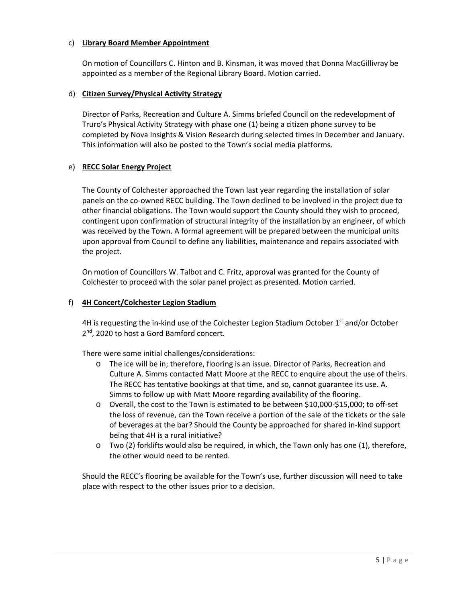## c) **Library Board Member Appointment**

On motion of Councillors C. Hinton and B. Kinsman, it was moved that Donna MacGillivray be appointed as a member of the Regional Library Board. Motion carried.

# d) **Citizen Survey/Physical Activity Strategy**

Director of Parks, Recreation and Culture A. Simms briefed Council on the redevelopment of Truro's Physical Activity Strategy with phase one (1) being a citizen phone survey to be completed by Nova Insights & Vision Research during selected times in December and January. This information will also be posted to the Town's social media platforms.

# e) **RECC Solar Energy Project**

The County of Colchester approached the Town last year regarding the installation of solar panels on the co-owned RECC building. The Town declined to be involved in the project due to other financial obligations. The Town would support the County should they wish to proceed, contingent upon confirmation of structural integrity of the installation by an engineer, of which was received by the Town. A formal agreement will be prepared between the municipal units upon approval from Council to define any liabilities, maintenance and repairs associated with the project.

On motion of Councillors W. Talbot and C. Fritz, approval was granted for the County of Colchester to proceed with the solar panel project as presented. Motion carried.

# f) **4H Concert/Colchester Legion Stadium**

4H is requesting the in-kind use of the Colchester Legion Stadium October  $1<sup>st</sup>$  and/or October 2<sup>nd</sup>, 2020 to host a Gord Bamford concert.

There were some initial challenges/considerations:

- o The ice will be in; therefore, flooring is an issue. Director of Parks, Recreation and Culture A. Simms contacted Matt Moore at the RECC to enquire about the use of theirs. The RECC has tentative bookings at that time, and so, cannot guarantee its use. A. Simms to follow up with Matt Moore regarding availability of the flooring.
- o Overall, the cost to the Town is estimated to be between \$10,000‐\$15,000; to off‐set the loss of revenue, can the Town receive a portion of the sale of the tickets or the sale of beverages at the bar? Should the County be approached for shared in‐kind support being that 4H is a rural initiative?
- $\circ$  Two (2) forklifts would also be required, in which, the Town only has one (1), therefore, the other would need to be rented.

Should the RECC's flooring be available for the Town's use, further discussion will need to take place with respect to the other issues prior to a decision.